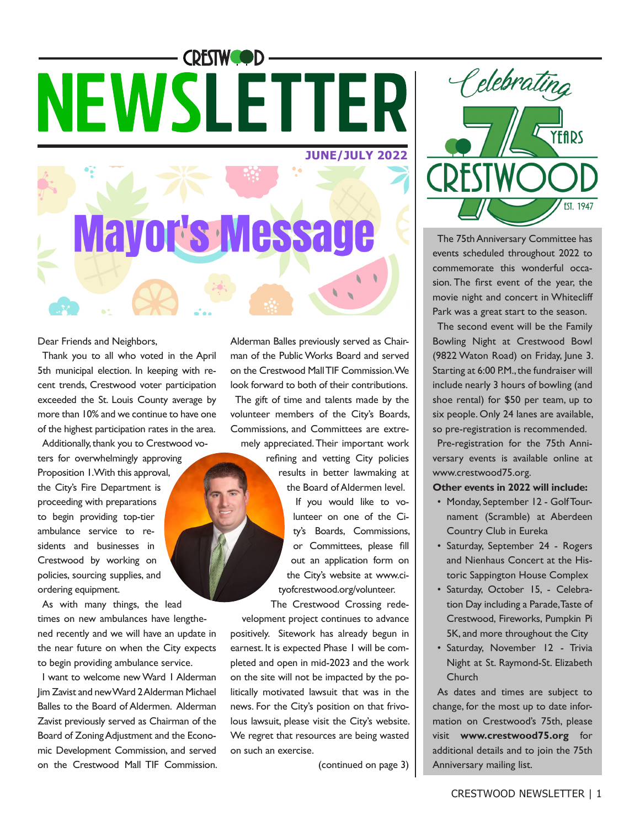## **CRESTWOOD-NEWSLETTER JUNE/JULY 2022**

Mayor's Messag

Dear Friends and Neighbors,

Thank you to all who voted in the April 5th municipal election. In keeping with recent trends, Crestwood voter participation exceeded the St. Louis County average by more than 10% and we continue to have one of the highest participation rates in the area.

Additionally, thank you to Crestwood voters for overwhelmingly approving Proposition 1. With this approval, the City's Fire Department is proceeding with preparations to begin providing top-tier ambulance service to residents and businesses in Crestwood by working on policies, sourcing supplies, and ordering equipment.

As with many things, the lead times on new ambulances have lengthened recently and we will have an update in the near future on when the City expects to begin providing ambulance service.

I want to welcome new Ward 1 Alderman Jim Zavist and new Ward 2 Alderman Michael Balles to the Board of Aldermen. Alderman Zavist previously served as Chairman of the Board of Zoning Adjustment and the Economic Development Commission, and served on the Crestwood Mall TIF Commission. Alderman Balles previously served as Chairman of the Public Works Board and served on the Crestwood Mall TIF Commission. We look forward to both of their contributions.

The gift of time and talents made by the volunteer members of the City's Boards, Commissions, and Committees are extremely appreciated. Their important work

> refining and vetting City policies results in better lawmaking at the Board of Aldermen level. If you would like to volunteer on one of the City's Boards, Commissions, or Committees, please fill out an application form on the City's website at www.cityofcrestwood.org/volunteer.

The Crestwood Crossing redevelopment project continues to advance positively. Sitework has already begun in earnest. It is expected Phase 1 will be completed and open in mid-2023 and the work on the site will not be impacted by the politically motivated lawsuit that was in the news. For the City's position on that frivolous lawsuit, please visit the City's website. We regret that resources are being wasted on such an exercise.

(continued on page 3)



The 75th Anniversary Committee has events scheduled throughout 2022 to commemorate this wonderful occasion. The first event of the year, the movie night and concert in Whitecliff Park was a great start to the season.

The second event will be the Family Bowling Night at Crestwood Bowl (9822 Waton Road) on Friday, June 3. Starting at 6:00 P.M., the fundraiser will include nearly 3 hours of bowling (and shoe rental) for \$50 per team, up to six people. Only 24 lanes are available, so pre-registration is recommended.

Pre-registration for the 75th Anniversary events is available online at www.crestwood75.org.

**Other events in 2022 will include:** 

- Monday, September 12 Golf Tournament (Scramble) at Aberdeen Country Club in Eureka
- Saturday, September 24 Rogers and Nienhaus Concert at the Historic Sappington House Complex
- Saturday, October 15, Celebration Day including a Parade, Taste of Crestwood, Fireworks, Pumpkin Pi 5K, and more throughout the City
- Saturday, November 12 Trivia Night at St. Raymond-St. Elizabeth Church

As dates and times are subject to change, for the most up to date information on Crestwood's 75th, please visit **www.crestwood75.org** for additional details and to join the 75th Anniversary mailing list.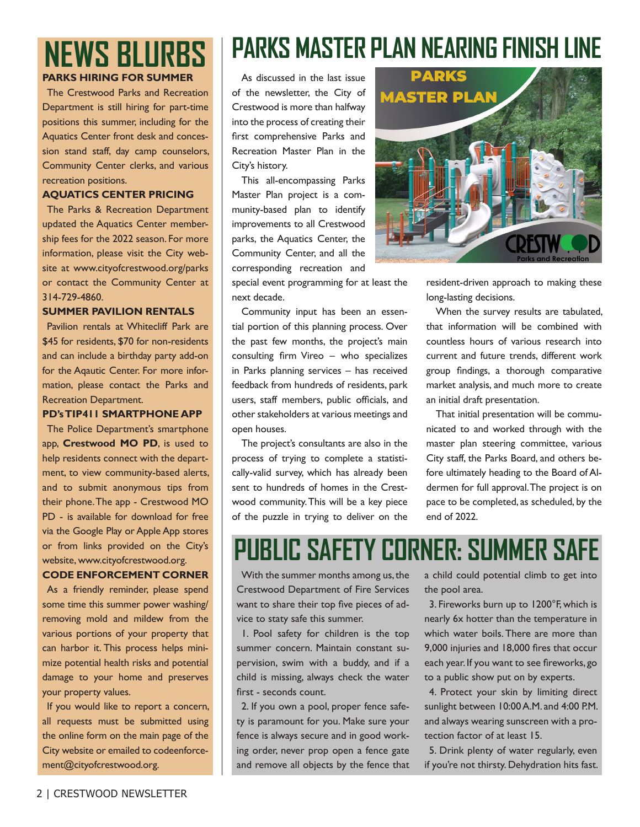### **NEWS BLURBS PARKS HIRING FOR SUMMER**

The Crestwood Parks and Recreation

Department is still hiring for part-time positions this summer, including for the Aquatics Center front desk and concession stand staff, day camp counselors, Community Center clerks, and various recreation positions.

#### **AQUATICS CENTER PRICING**

The Parks & Recreation Department updated the Aquatics Center membership fees for the 2022 season. For more information, please visit the City website at www.cityofcrestwood.org/parks or contact the Community Center at 314-729-4860.

#### **SUMMER PAVILION RENTALS**

Pavilion rentals at Whitecliff Park are \$45 for residents, \$70 for non-residents and can include a birthday party add-on for the Aqautic Center. For more information, please contact the Parks and Recreation Department.

#### **PD's TIP411 SMARTPHONE APP**

The Police Department's smartphone app, **Crestwood MO PD**, is used to help residents connect with the department, to view community-based alerts, and to submit anonymous tips from their phone. The app - Crestwood MO PD - is available for download for free via the Google Play or Apple App stores or from links provided on the City's website, www.cityofcrestwood.org.

#### **CODE ENFORCEMENT CORNER**

As a friendly reminder, please spend some time this summer power washing/ removing mold and mildew from the various portions of your property that can harbor it. This process helps minimize potential health risks and potential damage to your home and preserves your property values.

If you would like to report a concern, all requests must be submitted using the online form on the main page of the City website or emailed to codeenforcement@cityofcrestwood.org.

### **PARKS MASTER PLAN NEARING FINISH LINE**

As discussed in the last issue of the newsletter, the City of Crestwood is more than halfway into the process of creating their first comprehensive Parks and Recreation Master Plan in the City's history.

This all-encompassing Parks Master Plan project is a community-based plan to identify improvements to all Crestwood parks, the Aquatics Center, the Community Center, and all the corresponding recreation and

special event programming for at least the next decade.

Community input has been an essential portion of this planning process. Over the past few months, the project's main consulting firm Vireo – who specializes in Parks planning services – has received feedback from hundreds of residents, park users, staff members, public officials, and other stakeholders at various meetings and open houses.

The project's consultants are also in the process of trying to complete a statistically-valid survey, which has already been sent to hundreds of homes in the Crestwood community. This will be a key piece of the puzzle in trying to deliver on the



resident-driven approach to making these long-lasting decisions.

When the survey results are tabulated, that information will be combined with countless hours of various research into current and future trends, different work group findings, a thorough comparative market analysis, and much more to create an initial draft presentation.

That initial presentation will be communicated to and worked through with the master plan steering committee, various City staff, the Parks Board, and others before ultimately heading to the Board of Aldermen for full approval. The project is on pace to be completed, as scheduled, by the end of 2022.

### **PUBLIC SAFETY CORNER: SUMMER SAFE**

With the summer months among us, the Crestwood Department of Fire Services want to share their top five pieces of advice to staty safe this summer.

1. Pool safety for children is the top summer concern. Maintain constant supervision, swim with a buddy, and if a child is missing, always check the water first - seconds count.

2. If you own a pool, proper fence safety is paramount for you. Make sure your fence is always secure and in good working order, never prop open a fence gate and remove all objects by the fence that a child could potential climb to get into the pool area.

3. Fireworks burn up to 1200°F, which is nearly 6x hotter than the temperature in which water boils. There are more than 9,000 injuries and 18,000 fires that occur each year. If you want to see fireworks, go to a public show put on by experts.

4. Protect your skin by limiting direct sunlight between 10:00 A.M. and 4:00 P.M. and always wearing sunscreen with a protection factor of at least 15.

5. Drink plenty of water regularly, even if you're not thirsty. Dehydration hits fast.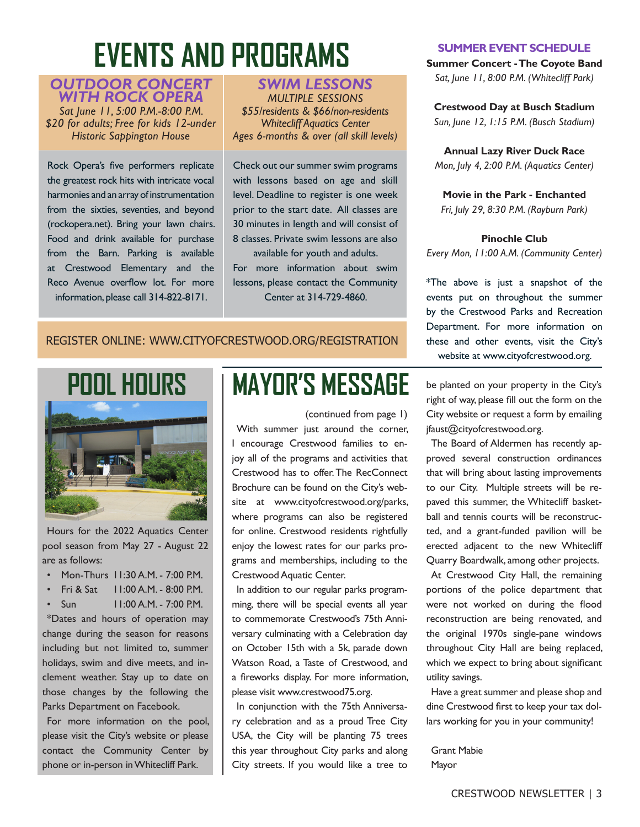### **EVENTS AND PROGRAMS**

#### *OUTDOOR CONCERT WITH ROCK OPERA*

*Sat June 11, 5:00 P.M.-8:00 P.M. \$20 for adults; Free for kids 12-under Historic Sappington House*

Rock Opera's five performers replicate the greatest rock hits with intricate vocal harmonies and an array of instrumentation from the sixties, seventies, and beyond (rockopera.net). Bring your lawn chairs. Food and drink available for purchase from the Barn. Parking is available at Crestwood Elementary and the Reco Avenue overflow lot. For more information, please call 314-822-8171.

#### *SWIM LESSONS MULTIPLE SESSIONS \$55/residents & \$66/non-residents Whitecliff Aquatics Center Ages 6-months & over (all skill levels)*

Check out our summer swim programs with lessons based on age and skill level. Deadline to register is one week prior to the start date. All classes are 30 minutes in length and will consist of 8 classes. Private swim lessons are also available for youth and adults.

For more information about swim lessons, please contact the Community Center at 314-729-4860.

#### REGISTER ONLINE: WWW.CITYOFCRESTWOOD.ORG/REGISTRATION



Hours for the 2022 Aquatics Center pool season from May 27 - August 22 are as follows:

- Mon-Thurs 11:30 A.M. 7:00 P.M.
- Fri & Sat  $11:00$  A.M. 8:00 P.M.
- Sun 11:00 A.M. 7:00 P.M.

\*Dates and hours of operation may change during the season for reasons including but not limited to, summer holidays, swim and dive meets, and inclement weather. Stay up to date on those changes by the following the Parks Department on Facebook.

For more information on the pool, please visit the City's website or please contact the Community Center by phone or in-person in Whitecliff Park.

### **MAYOR'S MESSAGE**

(continued from page 1) With summer just around the corner, I encourage Crestwood families to enjoy all of the programs and activities that Crestwood has to offer. The RecConnect Brochure can be found on the City's website at www.cityofcrestwood.org/parks, where programs can also be registered for online. Crestwood residents rightfully enjoy the lowest rates for our parks programs and memberships, including to the Crestwood Aquatic Center.

In addition to our regular parks programming, there will be special events all year to commemorate Crestwood's 75th Anniversary culminating with a Celebration day on October 15th with a 5k, parade down Watson Road, a Taste of Crestwood, and a fireworks display. For more information, please visit www.crestwood75.org.

In conjunction with the 75th Anniversary celebration and as a proud Tree City USA, the City will be planting 75 trees this year throughout City parks and along City streets. If you would like a tree to

#### **SUMMER EVENT SCHEDULE**

**Summer Concert - The Coyote Band** *Sat, June 11, 8:00 P.M. (Whitecliff Park)*

**Crestwood Day at Busch Stadium**  *Sun, June 12, 1:15 P.M. (Busch Stadium)*

**Annual Lazy River Duck Race** *Mon, July 4, 2:00 P.M. (Aquatics Center)*

**Movie in the Park - Enchanted** *Fri, July 29, 8:30 P.M. (Rayburn Park)*

#### **Pinochle Club**

*Every Mon, 11:00 A.M. (Community Center)*

\*The above is just a snapshot of the events put on throughout the summer by the Crestwood Parks and Recreation Department. For more information on these and other events, visit the City's website at www.cityofcrestwood.org.

be planted on your property in the City's right of way, please fill out the form on the City website or request a form by emailing jfaust@cityofcrestwood.org.

The Board of Aldermen has recently approved several construction ordinances that will bring about lasting improvements to our City. Multiple streets will be repaved this summer, the Whitecliff basketball and tennis courts will be reconstructed, and a grant-funded pavilion will be erected adjacent to the new Whitecliff Quarry Boardwalk, among other projects.

At Crestwood City Hall, the remaining portions of the police department that were not worked on during the flood reconstruction are being renovated, and the original 1970s single-pane windows throughout City Hall are being replaced, which we expect to bring about significant utility savings.

Have a great summer and please shop and dine Crestwood first to keep your tax dollars working for you in your community!

Grant Mabie Mayor